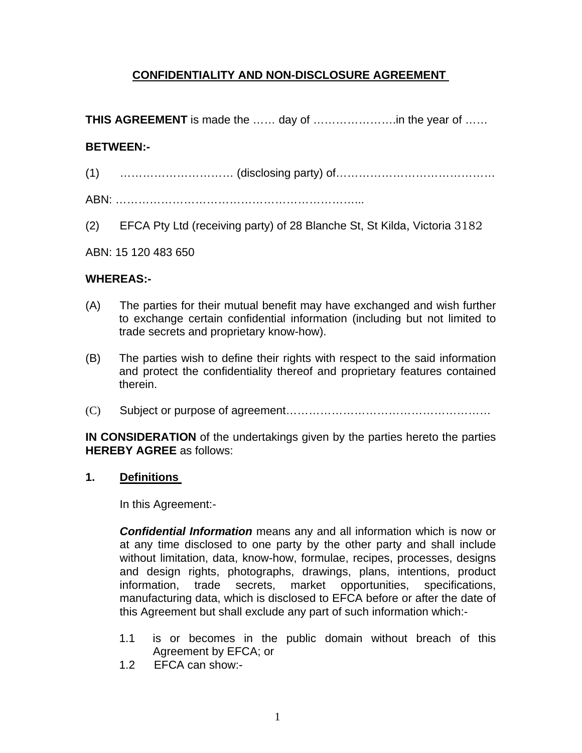# **CONFIDENTIALITY AND NON-DISCLOSURE AGREEMENT**

**THIS AGREEMENT** is made the …… day of ………………….in the year of ……

## **BETWEEN:-**

- (1) ………………………… (disclosing party) of……………………………………
- ABN: ………………………………………………………...
- (2) EFCA Pty Ltd (receiving party) of 28 Blanche St, St Kilda, Victoria 3182

#### ABN: 15 120 483 650

## **WHEREAS:-**

- (A) The parties for their mutual benefit may have exchanged and wish further to exchange certain confidential information (including but not limited to trade secrets and proprietary know-how).
- (B) The parties wish to define their rights with respect to the said information and protect the confidentiality thereof and proprietary features contained therein.
- (C) Subject or purpose of agreement………………………………………………

**IN CONSIDERATION** of the undertakings given by the parties hereto the parties **HEREBY AGREE** as follows:

#### **1. Definitions**

In this Agreement:-

*Confidential Information* means any and all information which is now or at any time disclosed to one party by the other party and shall include without limitation, data, know-how, formulae, recipes, processes, designs and design rights, photographs, drawings, plans, intentions, product information, trade secrets, market opportunities, specifications, manufacturing data, which is disclosed to EFCA before or after the date of this Agreement but shall exclude any part of such information which:-

- 1.1 is or becomes in the public domain without breach of this Agreement by EFCA; or
- 1.2 EFCA can show:-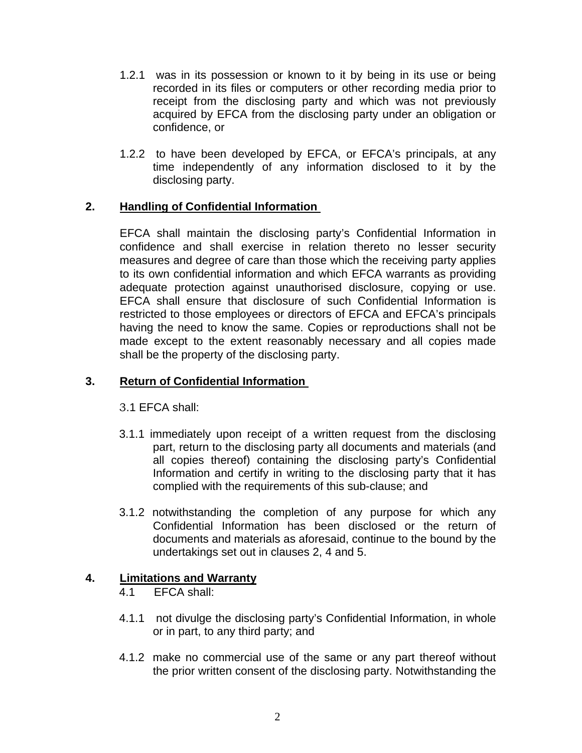- 1.2.1 was in its possession or known to it by being in its use or being recorded in its files or computers or other recording media prior to receipt from the disclosing party and which was not previously acquired by EFCA from the disclosing party under an obligation or confidence, or
- 1.2.2 to have been developed by EFCA, or EFCA's principals, at any time independently of any information disclosed to it by the disclosing party.

## **2. Handling of Confidential Information**

EFCA shall maintain the disclosing party's Confidential Information in confidence and shall exercise in relation thereto no lesser security measures and degree of care than those which the receiving party applies to its own confidential information and which EFCA warrants as providing adequate protection against unauthorised disclosure, copying or use. EFCA shall ensure that disclosure of such Confidential Information is restricted to those employees or directors of EFCA and EFCA's principals having the need to know the same. Copies or reproductions shall not be made except to the extent reasonably necessary and all copies made shall be the property of the disclosing party.

### **3. Return of Confidential Information**

3.1 EFCA shall:

- 3.1.1 immediately upon receipt of a written request from the disclosing part, return to the disclosing party all documents and materials (and all copies thereof) containing the disclosing party's Confidential Information and certify in writing to the disclosing party that it has complied with the requirements of this sub-clause; and
- 3.1.2 notwithstanding the completion of any purpose for which any Confidential Information has been disclosed or the return of documents and materials as aforesaid, continue to the bound by the undertakings set out in clauses 2, 4 and 5.

#### **4. Limitations and Warranty**

- 4.1 EFCA shall:
- 4.1.1 not divulge the disclosing party's Confidential Information, in whole or in part, to any third party; and
- 4.1.2 make no commercial use of the same or any part thereof without the prior written consent of the disclosing party. Notwithstanding the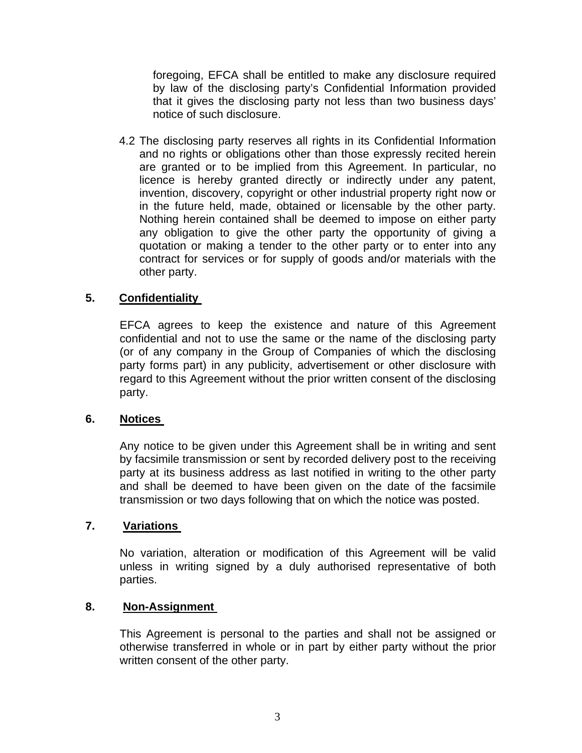foregoing, EFCA shall be entitled to make any disclosure required by law of the disclosing party's Confidential Information provided that it gives the disclosing party not less than two business days' notice of such disclosure.

4.2 The disclosing party reserves all rights in its Confidential Information and no rights or obligations other than those expressly recited herein are granted or to be implied from this Agreement. In particular, no licence is hereby granted directly or indirectly under any patent, invention, discovery, copyright or other industrial property right now or in the future held, made, obtained or licensable by the other party. Nothing herein contained shall be deemed to impose on either party any obligation to give the other party the opportunity of giving a quotation or making a tender to the other party or to enter into any contract for services or for supply of goods and/or materials with the other party.

## **5. Confidentiality**

EFCA agrees to keep the existence and nature of this Agreement confidential and not to use the same or the name of the disclosing party (or of any company in the Group of Companies of which the disclosing party forms part) in any publicity, advertisement or other disclosure with regard to this Agreement without the prior written consent of the disclosing party.

#### **6. Notices**

Any notice to be given under this Agreement shall be in writing and sent by facsimile transmission or sent by recorded delivery post to the receiving party at its business address as last notified in writing to the other party and shall be deemed to have been given on the date of the facsimile transmission or two days following that on which the notice was posted.

#### **7. Variations**

No variation, alteration or modification of this Agreement will be valid unless in writing signed by a duly authorised representative of both parties.

#### **8. Non-Assignment**

This Agreement is personal to the parties and shall not be assigned or otherwise transferred in whole or in part by either party without the prior written consent of the other party.